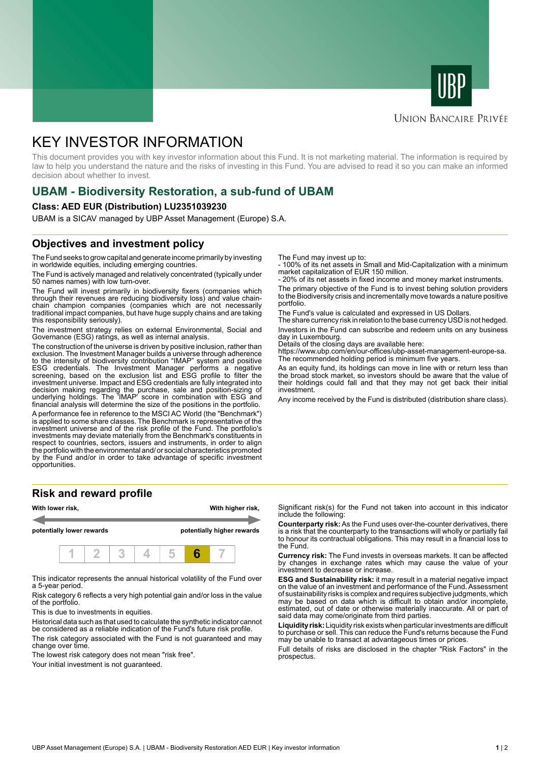



### **UNION BANCAIRE PRIVÉE**

# KEY INVESTOR INFORMATION

This document provides you with key investor information about this Fund. It is not marketing material. The information is required by law to help you understand the nature and the risks of investing in this Fund. You are advised to read it so you can make an informed decision about whether to invest.

# **UBAM - Biodiversity Restoration, a sub-fund of UBAM**

#### **Class: AED EUR (Distribution) LU2351039230**

UBAM is a SICAV managed by UBP Asset Management (Europe) S.A.

# **Objectives and investment policy**

The Fund seeks to grow capital and generate income primarily by investing in worldwide equities, including emerging countries.

The Fund is actively managed and relatively concentrated (typically under 50 names names) with low turn-over.

The Fund will invest primarily in biodiversity fixers (companies which through their revenues are reducing biodiversity loss) and value chainchain champion companies (companies which are not necessarily traditional impact companies, but have huge supply chains and are taking this responsibility seriously).

The investment strategy relies on external Environmental, Social and Governance (ESG) ratings, as well as internal analysis.

The construction of the universe is driven by positive inclusion, rather than exclusion. The Investment Manager builds a universe through adherence to the intensity of biodiversity contribution "IMAP" system and positive ESG credentials. The Investment Manager performs a negative screening, based on the exclusion list and ESG profile to filter the investment universe. Impact and ESG credentials are fully integrated into decision making regarding the purchase, sale and position-sizing of underlying holdings. The 'IMAP' score in combination with ESG and financial analysis will determine the size of the positions in the portfolio.

A performance fee in reference to the MSCI AC World (the "Benchmark") is applied to some share classes. The Benchmark is representative of the investment universe and of the risk profile of the Fund. The portfolio's investments may deviate materially from the Benchmark's constituents in respect to countries, sectors, issuers and instruments, in order to align the portfolio with the environmental and/ or social characteristics promoted by the Fund and/or in order to take advantage of specific investment opportunities.

### **Risk and reward profile**



This indicator represents the annual historical volatility of the Fund over a 5-year period.

Risk category 6 reflects a very high potential gain and/or loss in the value of the portfolio.

This is due to investments in equities.

Historical data such as that used to calculate the synthetic indicator cannot be considered as a reliable indication of the Fund's future risk profile.

The risk category associated with the Fund is not guaranteed and may change over time.

The lowest risk category does not mean "risk free".

Your initial investment is not guaranteed.

The Fund may invest up to:

- 100% of its net assets in Small and Mid-Capitalization with a minimum market capitalization of EUR 150 million.

20% of its net assets in fixed income and money market instruments.

The primary objective of the Fund is to invest behing solution providers to the Biodiversity crisis and incrementally move towards a nature positive portfolio.

The Fund's value is calculated and expressed in US Dollars.

The share currency risk in relation to the base currency USD is not hedged. Investors in the Fund can subscribe and redeem units on any business day in Luxembourg.

Details of the closing days are available here:

https://www.ubp.com/en/our-offices/ubp-asset-management-europe-sa. The recommended holding period is minimum five years.

As an equity fund, its holdings can move in line with or return less than the broad stock market, so investors should be aware that the value of their holdings could fall and that they may not get back their initial investment.

Any income received by the Fund is distributed (distribution share class).

Significant risk(s) for the Fund not taken into account in this indicator include the following:

**Counterparty risk:** As the Fund uses over-the-counter derivatives, there is a risk that the counterparty to the transactions will wholly or partially fail to honour its contractual obligations. This may result in a financial loss to the Fund.

**Currency risk:** The Fund invests in overseas markets. It can be affected by changes in exchange rates which may cause the value of your investment to decrease or increase.

**ESG and Sustainability risk:** it may result in a material negative impact on the value of an investment and performance of the Fund. Assessment of sustainability risks is complex and requires subjective judgments, which may be based on data which is difficult to obtain and/or incomplete, estimated, out of date or otherwise materially inaccurate. All or part of said data may come/originate from third parties.

**Liquidity risk:** Liquidity risk exists when particular investments are difficult to purchase or sell. This can reduce the Fund's returns because the Fund may be unable to transact at advantageous times or prices.

Full details of risks are disclosed in the chapter "Risk Factors" in the prospectus.